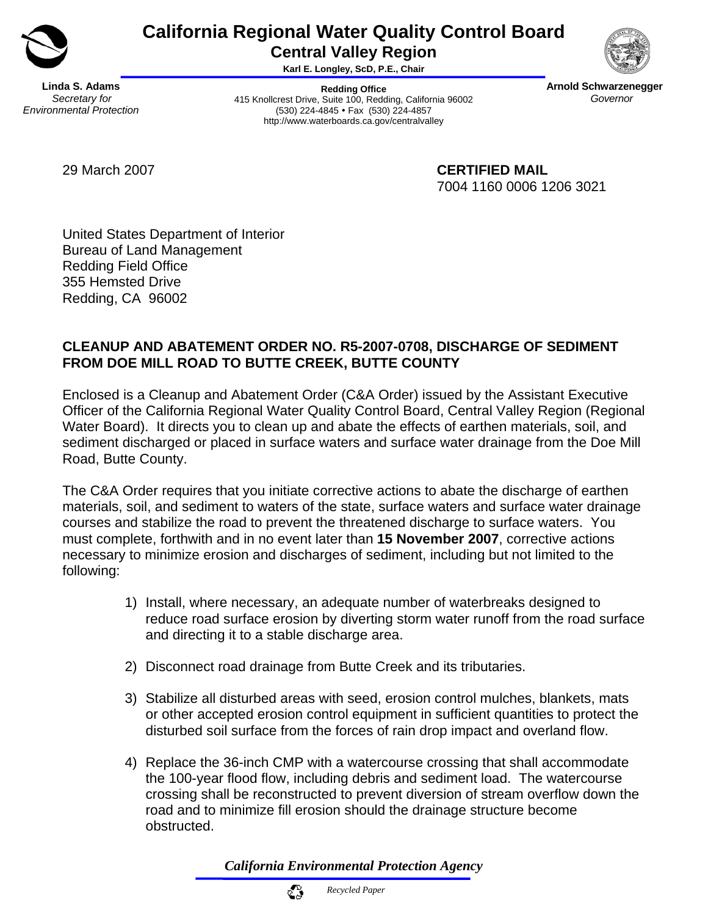

# **California Regional Water Quality Control Board Central Valley Region**

**Karl E. Longley, ScD, P.E., Chair** 

**Linda S. Adams**  *Secretary for Environmental Protection* 

**Redding Office**  415 Knollcrest Drive, Suite 100, Redding, California 96002 (530) 224-4845 • Fax (530) 224-4857 http://www.waterboards.ca.gov/centralvalley



**Arnold Schwarzenegger**  *Governor* 

29 March 2007 **CERTIFIED MAIL** 7004 1160 0006 1206 3021

United States Department of Interior Bureau of Land Management Redding Field Office 355 Hemsted Drive Redding, CA 96002

## **CLEANUP AND ABATEMENT ORDER NO. R5-2007-0708, DISCHARGE OF SEDIMENT FROM DOE MILL ROAD TO BUTTE CREEK, BUTTE COUNTY**

Enclosed is a Cleanup and Abatement Order (C&A Order) issued by the Assistant Executive Officer of the California Regional Water Quality Control Board, Central Valley Region (Regional Water Board). It directs you to clean up and abate the effects of earthen materials, soil, and sediment discharged or placed in surface waters and surface water drainage from the Doe Mill Road, Butte County.

The C&A Order requires that you initiate corrective actions to abate the discharge of earthen materials, soil, and sediment to waters of the state, surface waters and surface water drainage courses and stabilize the road to prevent the threatened discharge to surface waters. You must complete, forthwith and in no event later than **15 November 2007**, corrective actions necessary to minimize erosion and discharges of sediment, including but not limited to the following:

- 1) Install, where necessary, an adequate number of waterbreaks designed to reduce road surface erosion by diverting storm water runoff from the road surface and directing it to a stable discharge area.
- 2) Disconnect road drainage from Butte Creek and its tributaries.
- 3) Stabilize all disturbed areas with seed, erosion control mulches, blankets, mats or other accepted erosion control equipment in sufficient quantities to protect the disturbed soil surface from the forces of rain drop impact and overland flow.
- 4) Replace the 36-inch CMP with a watercourse crossing that shall accommodate the 100-year flood flow, including debris and sediment load. The watercourse crossing shall be reconstructed to prevent diversion of stream overflow down the road and to minimize fill erosion should the drainage structure become obstructed.

*California Environmental Protection Agency*

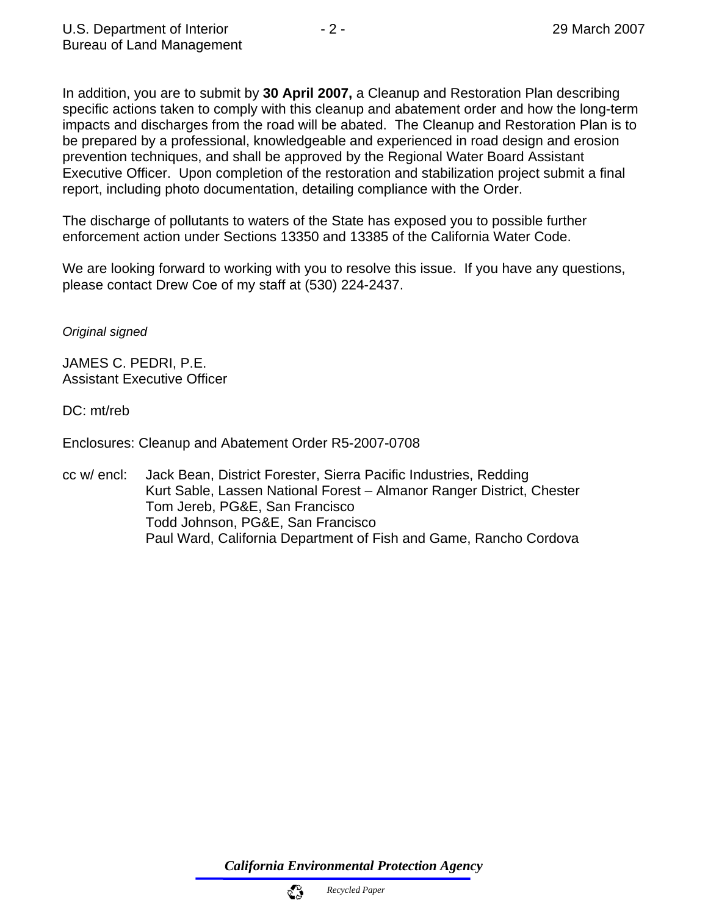In addition, you are to submit by **30 April 2007,** a Cleanup and Restoration Plan describing specific actions taken to comply with this cleanup and abatement order and how the long-term impacts and discharges from the road will be abated. The Cleanup and Restoration Plan is to be prepared by a professional, knowledgeable and experienced in road design and erosion prevention techniques, and shall be approved by the Regional Water Board Assistant Executive Officer. Upon completion of the restoration and stabilization project submit a final report, including photo documentation, detailing compliance with the Order.

The discharge of pollutants to waters of the State has exposed you to possible further enforcement action under Sections 13350 and 13385 of the California Water Code.

We are looking forward to working with you to resolve this issue. If you have any questions, please contact Drew Coe of my staff at (530) 224-2437.

*Original signed* 

JAMES C. PEDRI, P.E. Assistant Executive Officer

DC: mt/reb

Enclosures: Cleanup and Abatement Order R5-2007-0708

cc w/ encl: Jack Bean, District Forester, Sierra Pacific Industries, Redding Kurt Sable, Lassen National Forest – Almanor Ranger District, Chester Tom Jereb, PG&E, San Francisco Todd Johnson, PG&E, San Francisco Paul Ward, California Department of Fish and Game, Rancho Cordova

*California Environmental Protection Agency*

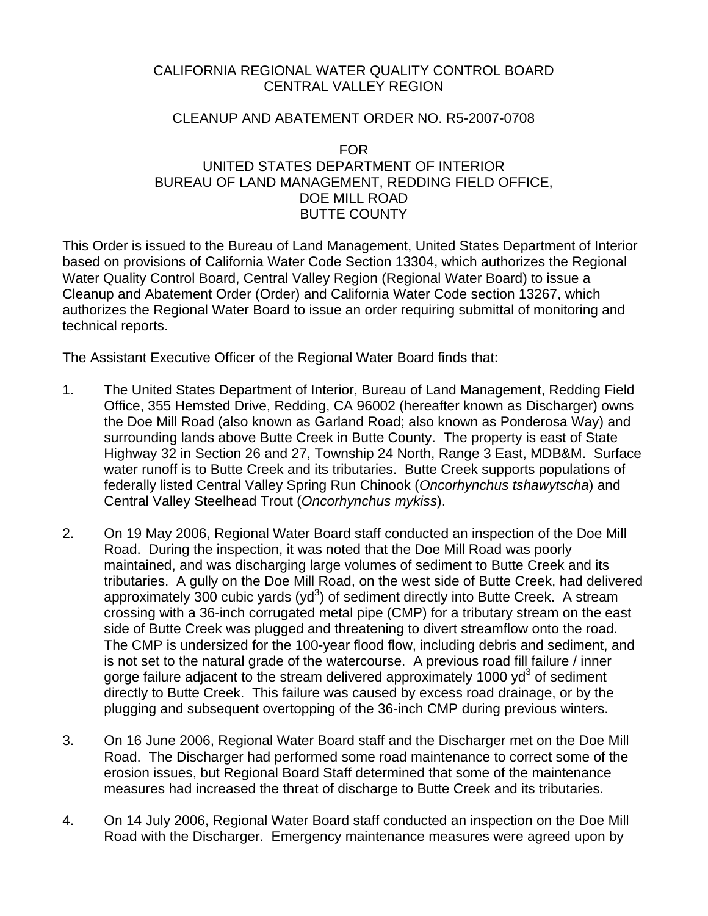### CALIFORNIA REGIONAL WATER QUALITY CONTROL BOARD CENTRAL VALLEY REGION

#### CLEANUP AND ABATEMENT ORDER NO. R5-2007-0708

#### FOR UNITED STATES DEPARTMENT OF INTERIOR BUREAU OF LAND MANAGEMENT, REDDING FIELD OFFICE, DOE MILL ROAD BUTTE COUNTY

This Order is issued to the Bureau of Land Management, United States Department of Interior based on provisions of California Water Code Section 13304, which authorizes the Regional Water Quality Control Board, Central Valley Region (Regional Water Board) to issue a Cleanup and Abatement Order (Order) and California Water Code section 13267, which authorizes the Regional Water Board to issue an order requiring submittal of monitoring and technical reports.

The Assistant Executive Officer of the Regional Water Board finds that:

- 1. The United States Department of Interior, Bureau of Land Management, Redding Field Office, 355 Hemsted Drive, Redding, CA 96002 (hereafter known as Discharger) owns the Doe Mill Road (also known as Garland Road; also known as Ponderosa Way) and surrounding lands above Butte Creek in Butte County. The property is east of State Highway 32 in Section 26 and 27, Township 24 North, Range 3 East, MDB&M. Surface water runoff is to Butte Creek and its tributaries. Butte Creek supports populations of federally listed Central Valley Spring Run Chinook (*Oncorhynchus tshawytscha*) and Central Valley Steelhead Trout (*Oncorhynchus mykiss*).
- 2. On 19 May 2006, Regional Water Board staff conducted an inspection of the Doe Mill Road. During the inspection, it was noted that the Doe Mill Road was poorly maintained, and was discharging large volumes of sediment to Butte Creek and its tributaries. A gully on the Doe Mill Road, on the west side of Butte Creek, had delivered approximately 300 cubic yards (yd<sup>3</sup>) of sediment directly into Butte Creek. A stream crossing with a 36-inch corrugated metal pipe (CMP) for a tributary stream on the east side of Butte Creek was plugged and threatening to divert streamflow onto the road. The CMP is undersized for the 100-year flood flow, including debris and sediment, and is not set to the natural grade of the watercourse. A previous road fill failure / inner gorge failure adjacent to the stream delivered approximately 1000  $yd^3$  of sediment directly to Butte Creek. This failure was caused by excess road drainage, or by the plugging and subsequent overtopping of the 36-inch CMP during previous winters.
- 3. On 16 June 2006, Regional Water Board staff and the Discharger met on the Doe Mill Road. The Discharger had performed some road maintenance to correct some of the erosion issues, but Regional Board Staff determined that some of the maintenance measures had increased the threat of discharge to Butte Creek and its tributaries.
- 4. On 14 July 2006, Regional Water Board staff conducted an inspection on the Doe Mill Road with the Discharger. Emergency maintenance measures were agreed upon by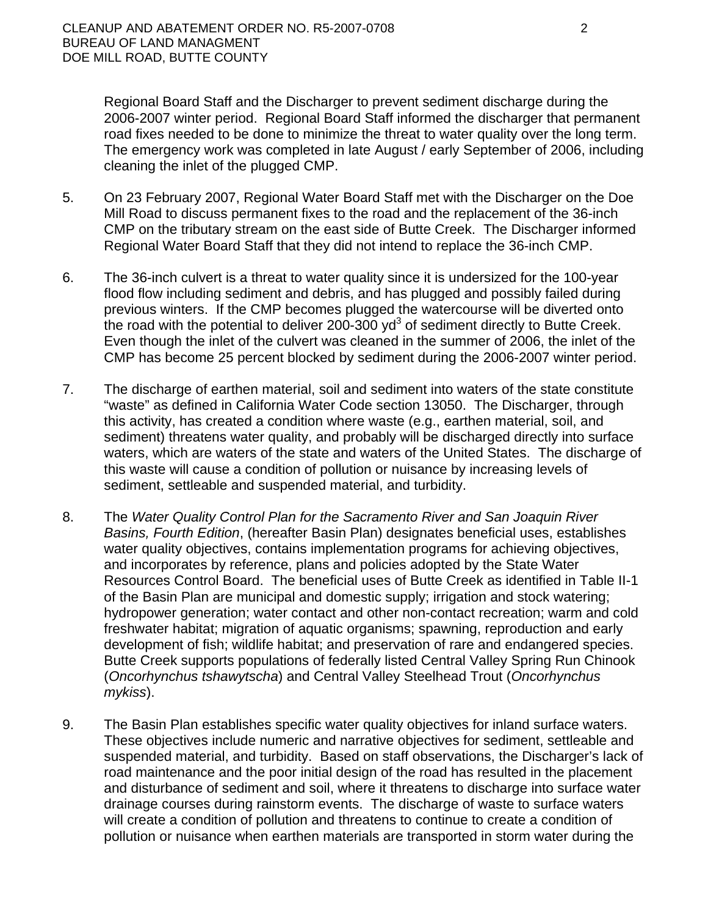Regional Board Staff and the Discharger to prevent sediment discharge during the 2006-2007 winter period. Regional Board Staff informed the discharger that permanent road fixes needed to be done to minimize the threat to water quality over the long term. The emergency work was completed in late August / early September of 2006, including cleaning the inlet of the plugged CMP.

- 5. On 23 February 2007, Regional Water Board Staff met with the Discharger on the Doe Mill Road to discuss permanent fixes to the road and the replacement of the 36-inch CMP on the tributary stream on the east side of Butte Creek. The Discharger informed Regional Water Board Staff that they did not intend to replace the 36-inch CMP.
- 6. The 36-inch culvert is a threat to water quality since it is undersized for the 100-year flood flow including sediment and debris, and has plugged and possibly failed during previous winters. If the CMP becomes plugged the watercourse will be diverted onto the road with the potential to deliver 200-300 yd<sup>3</sup> of sediment directly to Butte Creek. Even though the inlet of the culvert was cleaned in the summer of 2006, the inlet of the CMP has become 25 percent blocked by sediment during the 2006-2007 winter period.
- 7. The discharge of earthen material, soil and sediment into waters of the state constitute "waste" as defined in California Water Code section 13050. The Discharger, through this activity, has created a condition where waste (e.g., earthen material, soil, and sediment) threatens water quality, and probably will be discharged directly into surface waters, which are waters of the state and waters of the United States. The discharge of this waste will cause a condition of pollution or nuisance by increasing levels of sediment, settleable and suspended material, and turbidity.
- 8. The *Water Quality Control Plan for the Sacramento River and San Joaquin River Basins, Fourth Edition*, (hereafter Basin Plan) designates beneficial uses, establishes water quality objectives, contains implementation programs for achieving objectives, and incorporates by reference, plans and policies adopted by the State Water Resources Control Board. The beneficial uses of Butte Creek as identified in Table II-1 of the Basin Plan are municipal and domestic supply; irrigation and stock watering; hydropower generation; water contact and other non-contact recreation; warm and cold freshwater habitat; migration of aquatic organisms; spawning, reproduction and early development of fish; wildlife habitat; and preservation of rare and endangered species. Butte Creek supports populations of federally listed Central Valley Spring Run Chinook (*Oncorhynchus tshawytscha*) and Central Valley Steelhead Trout (*Oncorhynchus mykiss*).
- 9. The Basin Plan establishes specific water quality objectives for inland surface waters. These objectives include numeric and narrative objectives for sediment, settleable and suspended material, and turbidity. Based on staff observations, the Discharger's lack of road maintenance and the poor initial design of the road has resulted in the placement and disturbance of sediment and soil, where it threatens to discharge into surface water drainage courses during rainstorm events. The discharge of waste to surface waters will create a condition of pollution and threatens to continue to create a condition of pollution or nuisance when earthen materials are transported in storm water during the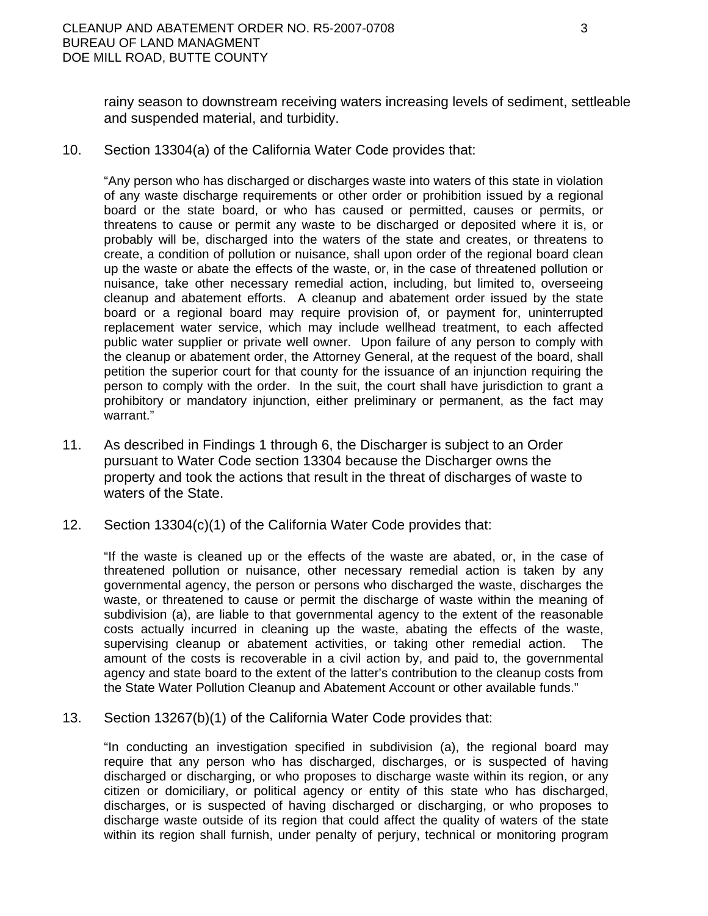rainy season to downstream receiving waters increasing levels of sediment, settleable and suspended material, and turbidity.

10. Section 13304(a) of the California Water Code provides that:

"Any person who has discharged or discharges waste into waters of this state in violation of any waste discharge requirements or other order or prohibition issued by a regional board or the state board, or who has caused or permitted, causes or permits, or threatens to cause or permit any waste to be discharged or deposited where it is, or probably will be, discharged into the waters of the state and creates, or threatens to create, a condition of pollution or nuisance, shall upon order of the regional board clean up the waste or abate the effects of the waste, or, in the case of threatened pollution or nuisance, take other necessary remedial action, including, but limited to, overseeing cleanup and abatement efforts. A cleanup and abatement order issued by the state board or a regional board may require provision of, or payment for, uninterrupted replacement water service, which may include wellhead treatment, to each affected public water supplier or private well owner. Upon failure of any person to comply with the cleanup or abatement order, the Attorney General, at the request of the board, shall petition the superior court for that county for the issuance of an injunction requiring the person to comply with the order. In the suit, the court shall have jurisdiction to grant a prohibitory or mandatory injunction, either preliminary or permanent, as the fact may warrant."

- 11. As described in Findings 1 through 6, the Discharger is subject to an Order pursuant to Water Code section 13304 because the Discharger owns the property and took the actions that result in the threat of discharges of waste to waters of the State.
- 12. Section 13304(c)(1) of the California Water Code provides that:

"If the waste is cleaned up or the effects of the waste are abated, or, in the case of threatened pollution or nuisance, other necessary remedial action is taken by any governmental agency, the person or persons who discharged the waste, discharges the waste, or threatened to cause or permit the discharge of waste within the meaning of subdivision (a), are liable to that governmental agency to the extent of the reasonable costs actually incurred in cleaning up the waste, abating the effects of the waste, supervising cleanup or abatement activities, or taking other remedial action. The amount of the costs is recoverable in a civil action by, and paid to, the governmental agency and state board to the extent of the latter's contribution to the cleanup costs from the State Water Pollution Cleanup and Abatement Account or other available funds."

13. Section 13267(b)(1) of the California Water Code provides that:

"In conducting an investigation specified in subdivision (a), the regional board may require that any person who has discharged, discharges, or is suspected of having discharged or discharging, or who proposes to discharge waste within its region, or any citizen or domiciliary, or political agency or entity of this state who has discharged, discharges, or is suspected of having discharged or discharging, or who proposes to discharge waste outside of its region that could affect the quality of waters of the state within its region shall furnish, under penalty of perjury, technical or monitoring program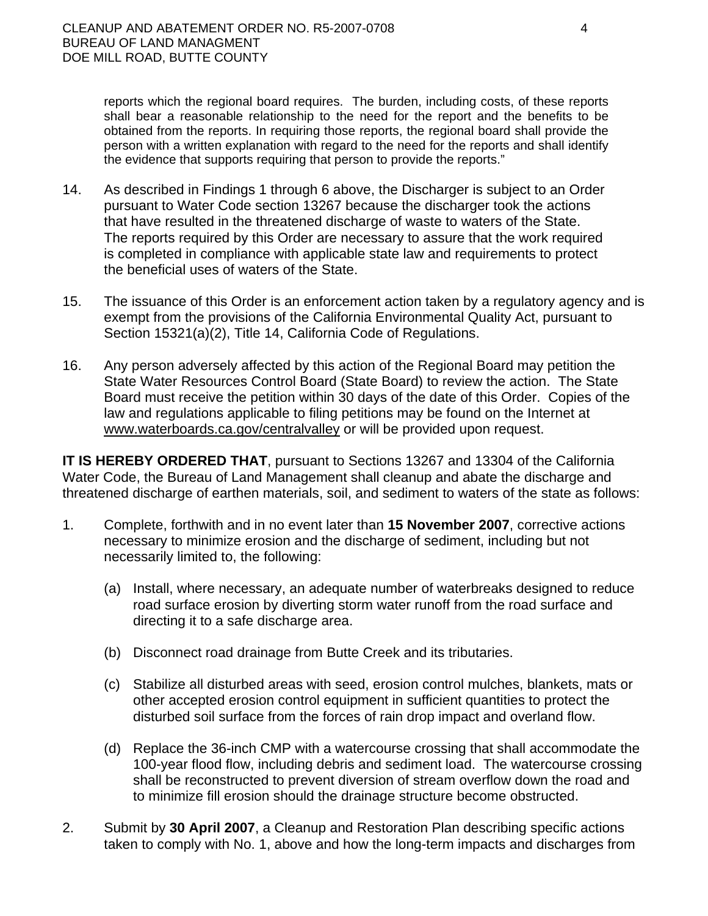reports which the regional board requires. The burden, including costs, of these reports shall bear a reasonable relationship to the need for the report and the benefits to be obtained from the reports. In requiring those reports, the regional board shall provide the person with a written explanation with regard to the need for the reports and shall identify the evidence that supports requiring that person to provide the reports."

- 14. As described in Findings 1 through 6 above, the Discharger is subject to an Order pursuant to Water Code section 13267 because the discharger took the actions that have resulted in the threatened discharge of waste to waters of the State. The reports required by this Order are necessary to assure that the work required is completed in compliance with applicable state law and requirements to protect the beneficial uses of waters of the State.
- 15. The issuance of this Order is an enforcement action taken by a regulatory agency and is exempt from the provisions of the California Environmental Quality Act, pursuant to Section 15321(a)(2), Title 14, California Code of Regulations.
- 16. Any person adversely affected by this action of the Regional Board may petition the State Water Resources Control Board (State Board) to review the action. The State Board must receive the petition within 30 days of the date of this Order. Copies of the law and regulations applicable to filing petitions may be found on the Internet at [www.waterboards.ca.gov/centralvalley](http://www.waterboards.ca.gov/centralvalley) or will be provided upon request.

**IT IS HEREBY ORDERED THAT**, pursuant to Sections 13267 and 13304 of the California Water Code, the Bureau of Land Management shall cleanup and abate the discharge and threatened discharge of earthen materials, soil, and sediment to waters of the state as follows:

- 1. Complete, forthwith and in no event later than **15 November 2007**, corrective actions necessary to minimize erosion and the discharge of sediment, including but not necessarily limited to, the following:
	- (a) Install, where necessary, an adequate number of waterbreaks designed to reduce road surface erosion by diverting storm water runoff from the road surface and directing it to a safe discharge area.
	- (b) Disconnect road drainage from Butte Creek and its tributaries.
	- (c) Stabilize all disturbed areas with seed, erosion control mulches, blankets, mats or other accepted erosion control equipment in sufficient quantities to protect the disturbed soil surface from the forces of rain drop impact and overland flow.
	- (d) Replace the 36-inch CMP with a watercourse crossing that shall accommodate the 100-year flood flow, including debris and sediment load. The watercourse crossing shall be reconstructed to prevent diversion of stream overflow down the road and to minimize fill erosion should the drainage structure become obstructed.
- 2. Submit by **30 April 2007**, a Cleanup and Restoration Plan describing specific actions taken to comply with No. 1, above and how the long-term impacts and discharges from